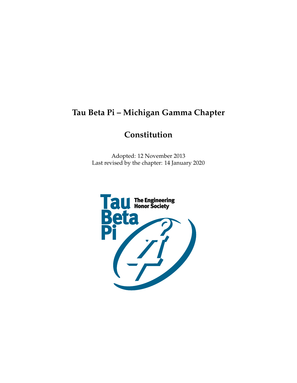# <span id="page-0-0"></span>**Tau Beta Pi – Michigan Gamma Chapter**

# **Constitution**

Adopted: 12 November 2013 Last revised by the chapter: 14 January 2020

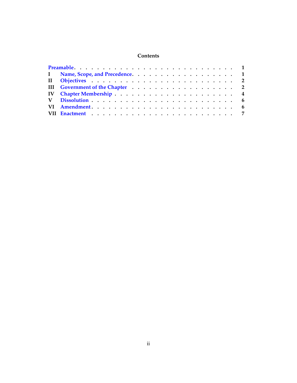# **Contents**

| I Name, Scope, and Precedence. 1 |  |  |  |  |  |  |  |  |  |
|----------------------------------|--|--|--|--|--|--|--|--|--|
|                                  |  |  |  |  |  |  |  |  |  |
| III Government of the Chapter 2  |  |  |  |  |  |  |  |  |  |
|                                  |  |  |  |  |  |  |  |  |  |
|                                  |  |  |  |  |  |  |  |  |  |
|                                  |  |  |  |  |  |  |  |  |  |
|                                  |  |  |  |  |  |  |  |  |  |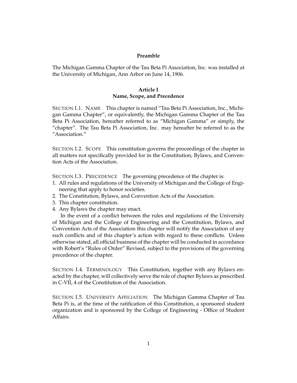#### **Preamble**

<span id="page-2-0"></span>The Michigan Gamma Chapter of the Tau Beta Pi Association, Inc. was installed at the University of Michigan, Ann Arbor on June 14, 1906.

#### **Article I Name, Scope, and Precedence**

SECTION I.1. NAME This chapter is named "Tau Beta Pi Association, Inc., Michigan Gamma Chapter", or equivalently, the Michigan Gamma Chapter of the Tau Beta Pi Association, hereafter referred to as "Michigan Gamma" or simply, the "chapter". The Tau Beta Pi Association, Inc. may hereafter be referred to as the "Association."

SECTION I.2. SCOPE This constitution governs the proceedings of the chapter in all matters not specifically provided for in the Constitution, Bylaws, and Convention Acts of the Association.

SECTION I.3. PRECEDENCE The governing precedence of the chapter is:

- 1. All rules and regulations of the University of Michigan and the College of Engineering that apply to honor societies.
- 2. The Constitution, Bylaws, and Convention Acts of the Association.
- 3. This chapter constitution.
- 4. Any Bylaws the chapter may enact.

In the event of a conflict between the rules and regulations of the University of Michigan and the College of Engineering and the Constitution, Bylaws, and Convention Acts of the Association this chapter will notify the Association of any such conflicts and of this chapter's action with regard to these conflicts. Unless otherwise stated, all official business of the chapter will be conducted in accordance with Robert's "Rules of Order" Revised, subject to the provisions of the governing precedence of the chapter.

SECTION I.4. TERMINOLOGY This Constitution, together with any Bylaws enacted by the chapter, will collectively serve the role of chapter Bylaws as prescribed in C-VII, 4 of the Constitution of the Association.

SECTION I.5. UNIVERSITY AFFILIATION The Michigan Gamma Chapter of Tau Beta Pi is, at the time of the ratification of this Constitution, a sponsored student organization and is sponsored by the College of Engineering - Office of Student Affairs.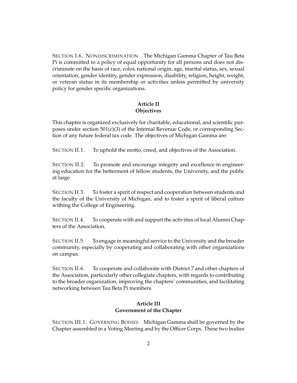SECTION I.6. NONDISCRIMINATION The Michigan Gamma Chapter of Tau Beta Pi is committed to a policy of equal opportunity for all persons and does not discriminate on the basis of race, color, national origin, age, marital status, sex, sexual orientation, gender identity, gender expression, disability, religion, height, weight, or veteran status in its membership or activities unless permitted by university policy for gender specific organizations.

# **Article II Objectives**

<span id="page-3-0"></span>This chapter is organized exclusively for charitable, educational, and scientific purposes under section 501(c)(3) of the Internal Revenue Code, or corresponding Section of any future federal tax code. The objectives of Michigan Gamma are:

SECTION II.1. To uphold the motto, creed, and objectives of the Association.

SECTION II.2. To promote and encourage integrity and excellence in engineering education for the betterment of fellow students, the University, and the public at large.

SECTION II.3. To foster a spirit of respect and cooperation between students and the faculty of the University of Michigan, and to foster a spirit of liberal culture withing the College of Engineering.

SECTION II.4. To cooperate with and support the activities of local Alumni Chapters of the Association.

SECTION II.5. To engage in meaningful service to the University and the broader community, especially by cooperating and collaborating with other organizations on campus.

<span id="page-3-1"></span>SECTION II.6. To cooperate and collaborate with District 7 and other chapters of the Association, particularly other collegiate chapters, with regards to contributing to the broader organization, improving the chapters' communities, and facilitating networking between Tau Beta Pi members.

# **Article III Government of the Chapter**

SECTION III.1. GOVERNING BODIES Michigan Gamma shall be governed by the Chapter assembled in a Voting Meeting and by the Officer Corps. These two bodies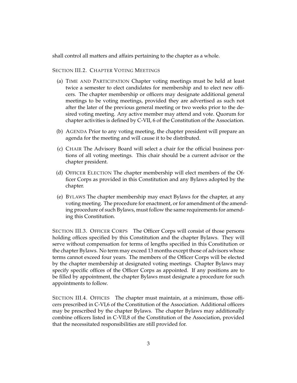shall control all matters and affairs pertaining to the chapter as a whole.

SECTION III.2. CHAPTER VOTING MEETINGS

- (a) TIME AND PARTICIPATION Chapter voting meetings must be held at least twice a semester to elect candidates for membership and to elect new officers. The chapter membership or officers may designate additional general meetings to be voting meetings, provided they are advertised as such not after the later of the previous general meeting or two weeks prior to the desired voting meeting. Any active member may attend and vote. Quorum for chapter activities is defined by C-VII, 6 of the Constitution of the Association.
- (b) AGENDA Prior to any voting meeting, the chapter president will prepare an agenda for the meeting and will cause it to be distributed.
- (c) CHAIR The Advisory Board will select a chair for the official business portions of all voting meetings. This chair should be a current advisor or the chapter president.
- (d) OFFICER ELECTION The chapter membership will elect members of the Officer Corps as provided in this Constitution and any Bylaws adopted by the chapter.
- (e) BYLAWS The chapter membership may enact Bylaws for the chapter, at any voting meeting. The procedure for enactment, or for amendment of the amending procedure of such Bylaws, must follow the same requirements for amending this Constitution.

SECTION III.3. OFFICER CORPS The Officer Corps will consist of those persons holding offices specified by this Constitution and the chapter Bylaws. They will serve without compensation for terms of lengths specified in this Constitution or the chapter Bylaws. No term may exceed 13 months except those of advisors whose terms cannot exceed four years. The members of the Officer Corps will be elected by the chapter membership at designated voting meetings. Chapter Bylaws may specify specific offices of the Officer Corps as appointed. If any positions are to be filled by appointment, the chapter Bylaws must designate a procedure for such appointments to follow.

SECTION III.4. OFFICES The chapter must maintain, at a minimum, those officers prescribed in C-VI,6 of the Constitution of the Association. Additional officers may be prescribed by the chapter Bylaws. The chapter Bylaws may additionally combine officers listed in C-VII,8 of the Constitution of the Association, provided that the necessitated responsibilities are still provided for.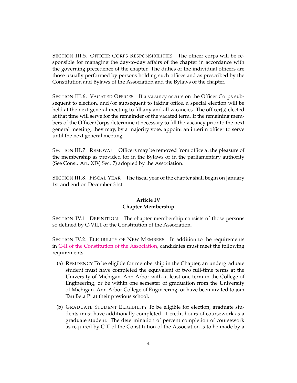SECTION III.5. OFFICER CORPS RESPONSIBILITIES The officer corps will be responsible for managing the day-to-day affairs of the chapter in accordance with the governing precedence of the chapter. The duties of the individual officers are those usually performed by persons holding such offices and as prescribed by the Constitution and Bylaws of the Association and the Bylaws of the chapter.

SECTION III.6. VACATED OFFICES If a vacancy occurs on the Officer Corps subsequent to election, and/or subsequent to taking office, a special election will be held at the next general meeting to fill any and all vacancies. The officer(s) elected at that time will serve for the remainder of the vacated term. If the remaining members of the Officer Corps determine it necessary to fill the vacancy prior to the next general meeting, they may, by a majority vote, appoint an interim officer to serve until the next general meeting.

SECTION III.7. REMOVAL Officers may be removed from office at the pleasure of the membership as provided for in the Bylaws or in the parliamentary authority (See Const. Art. XIV, Sec. 7) adopted by the Association.

<span id="page-5-0"></span>SECTION III.8. FISCAL YEAR The fiscal year of the chapter shall begin on January 1st and end on December 31st.

#### **Article IV Chapter Membership**

SECTION IV.1. DEFINITION The chapter membership consists of those persons so defined by C-VII,1 of the Constitution of the Association.

SECTION IV.2. ELIGIBILITY OF NEW MEMBERS In addition to the requirements in [C-II of the Constitution of the Association,](http://www.tbp.org/off/ConstBylaw.pdf) candidates must meet the following requirements:

- (a) RESIDENCY To be eligible for membership in the Chapter, an undergraduate student must have completed the equivalent of two full-time terms at the University of Michigan–Ann Arbor with at least one term in the College of Engineering, or be within one semester of graduation from the University of Michigan–Ann Arbor College of Engineering, or have been invited to join Tau Beta Pi at their previous school.
- (b) GRADUATE STUDENT ELIGIBILITY To be eligible for election, graduate students must have additionally completed 11 credit hours of coursework as a graduate student. The determination of percent completion of coursework as required by C-II of the Constitution of the Association is to be made by a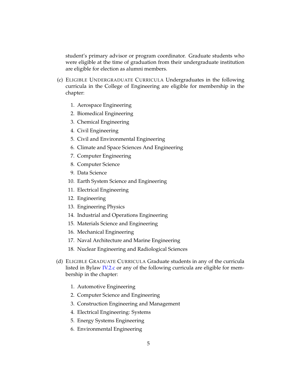student's primary advisor or program coordinator. Graduate students who were eligible at the time of graduation from their undergraduate institution are eligible for election as alumni members.

- <span id="page-6-0"></span>(c) ELIGIBLE UNDERGRADUATE CURRICULA Undergraduates in the following curricula in the College of Engineering are eligible for membership in the chapter:
	- 1. Aerospace Engineering
	- 2. Biomedical Engineering
	- 3. Chemical Engineering
	- 4. Civil Engineering
	- 5. Civil and Environmental Engineering
	- 6. Climate and Space Sciences And Engineering
	- 7. Computer Engineering
	- 8. Computer Science
	- 9. Data Science
	- 10. Earth System Science and Engineering
	- 11. Electrical Engineering
	- 12. Engineering
	- 13. Engineering Physics
	- 14. Industrial and Operations Engineering
	- 15. Materials Science and Engineering
	- 16. Mechanical Engineering
	- 17. Naval Architecture and Marine Engineering
	- 18. Nuclear Engineering and Radiological Sciences
- (d) ELIGIBLE GRADUATE CURRICULA Graduate students in any of the curricula listed in Bylaw [IV.2.c](#page-6-0) or any of the following curricula are eligible for membership in the chapter:
	- 1. Automotive Engineering
	- 2. Computer Science and Engineering
	- 3. Construction Engineering and Management
	- 4. Electrical Engineering: Systems
	- 5. Energy Systems Engineering
	- 6. Environmental Engineering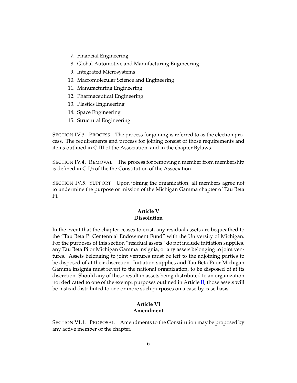- 7. Financial Engineering
- 8. Global Automotive and Manufacturing Engineering
- 9. Integrated Microsystems
- 10. Macromolecular Science and Engineering
- 11. Manufacturing Engineering
- 12. Pharmaceutical Engineering
- 13. Plastics Engineering
- 14. Space Engineering
- 15. Structural Engineering

SECTION IV.3. PROCESS The process for joining is referred to as the election process. The requirements and process for joining consist of those requirements and items outlined in C-III of the Association, and in the chapter Bylaws.

SECTION IV.4. REMOVAL The process for removing a member from membership is defined in C-I,5 of the the Constitution of the Association.

<span id="page-7-0"></span>SECTION IV.5. SUPPORT Upon joining the organization, all members agree not to undermine the purpose or mission of the Michigan Gamma chapter of Tau Beta Pi.

### **Article V Dissolution**

In the event that the chapter ceases to exist, any residual assets are bequeathed to the "Tau Beta Pi Centennial Endowment Fund" with the University of Michigan. For the purposes of this section "residual assets" do not include initiation supplies, any Tau Beta Pi or Michigan Gamma insignia, or any assets belonging to joint ventures. Assets belonging to joint ventures must be left to the adjoining parties to be disposed of at their discretion. Initiation supplies and Tau Beta Pi or Michigan Gamma insignia must revert to the national organization, to be disposed of at its discretion. Should any of these result in assets being distributed to an organization not dedicated to one of the exempt purposes outlined in Article [II,](#page-3-0) those assets will be instead distributed to one or more such purposes on a case-by-case basis.

### **Article VI Amendment**

<span id="page-7-1"></span>SECTION VI.1. PROPOSAL Amendments to the Constitution may be proposed by any active member of the chapter.